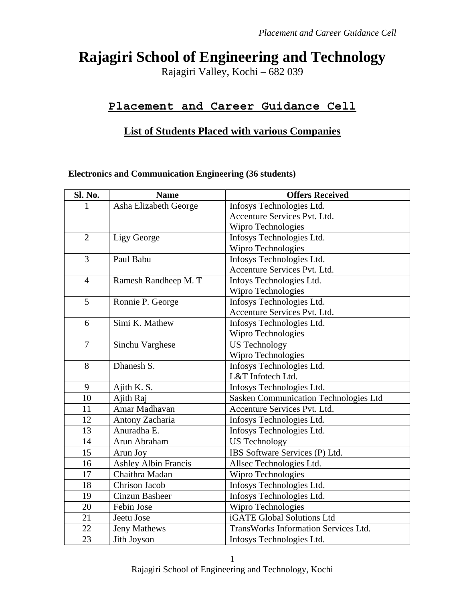# **Rajagiri School of Engineering and Technology**

Rajagiri Valley, Kochi – 682 039

# **Placement and Career Guidance Cell**

# **List of Students Placed with various Companies**

#### **Electronics and Communication Engineering (36 students)**

| Sl. No.        | <b>Name</b>                 | <b>Offers Received</b>                       |  |
|----------------|-----------------------------|----------------------------------------------|--|
|                | Asha Elizabeth George       | Infosys Technologies Ltd.                    |  |
|                |                             | Accenture Services Pvt. Ltd.                 |  |
|                |                             | Wipro Technologies                           |  |
| $\overline{2}$ | Ligy George                 | Infosys Technologies Ltd.                    |  |
|                |                             | Wipro Technologies                           |  |
| 3              | Paul Babu                   | Infosys Technologies Ltd.                    |  |
|                |                             | Accenture Services Pvt. Ltd.                 |  |
| $\overline{4}$ | Ramesh Randheep M. T        | Infoys Technologies Ltd.                     |  |
|                |                             | Wipro Technologies                           |  |
| 5              | Ronnie P. George            | Infosys Technologies Ltd.                    |  |
|                |                             | Accenture Services Pvt. Ltd.                 |  |
| 6              | Simi K. Mathew              | Infosys Technologies Ltd.                    |  |
|                |                             | Wipro Technologies                           |  |
| $\overline{7}$ | Sinchu Varghese             | <b>US</b> Technology                         |  |
|                |                             | Wipro Technologies                           |  |
| 8              | Dhanesh S.                  | Infosys Technologies Ltd.                    |  |
|                |                             | L&T Infotech Ltd.                            |  |
| 9              | Ajith K. S.                 | Infosys Technologies Ltd.                    |  |
| 10             | Ajith Raj                   | <b>Sasken Communication Technologies Ltd</b> |  |
| 11             | Amar Madhavan               | Accenture Services Pvt. Ltd.                 |  |
| 12             | Antony Zacharia             | Infosys Technologies Ltd.                    |  |
| 13             | Anuradha E.                 | Infosys Technologies Ltd.                    |  |
| 14             | Arun Abraham                | <b>US Technology</b>                         |  |
| 15             | Arun Joy                    | IBS Software Services (P) Ltd.               |  |
| 16             | <b>Ashley Albin Francis</b> | Allsec Technologies Ltd.                     |  |
| 17             | Chaithra Madan              | Wipro Technologies                           |  |
| 18             | Chrison Jacob               | Infosys Technologies Ltd.                    |  |
| 19             | Cinzun Basheer              | Infosys Technologies Ltd.                    |  |
| 20             | Febin Jose                  | Wipro Technologies                           |  |
| 21             | Jeetu Jose                  | iGATE Global Solutions Ltd                   |  |
| 22             | <b>Jeny Mathews</b>         | TransWorks Information Services Ltd.         |  |
| 23             | Jith Joyson                 | Infosys Technologies Ltd.                    |  |

1

Rajagiri School of Engineering and Technology, Kochi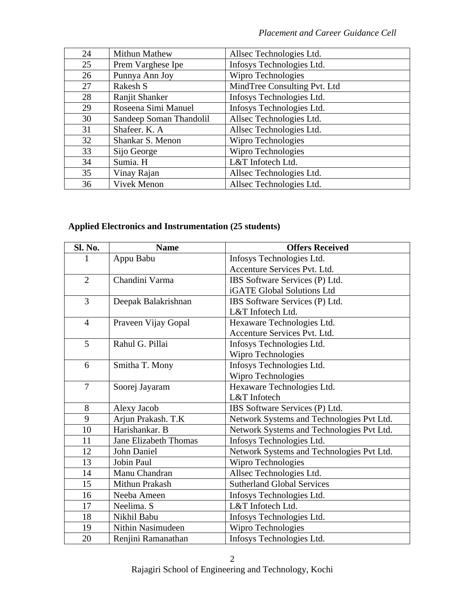| 24 | Mithun Mathew           | Allsec Technologies Ltd.     |
|----|-------------------------|------------------------------|
| 25 | Prem Varghese Ipe       | Infosys Technologies Ltd.    |
| 26 | Punnya Ann Joy          | Wipro Technologies           |
| 27 | Rakesh S                | MindTree Consulting Pvt. Ltd |
| 28 | Ranjit Shanker          | Infosys Technologies Ltd.    |
| 29 | Roseena Simi Manuel     | Infosys Technologies Ltd.    |
| 30 | Sandeep Soman Thandolil | Allsec Technologies Ltd.     |
| 31 | Shafeer. K. A           | Allsec Technologies Ltd.     |
| 32 | Shankar S. Menon        | Wipro Technologies           |
| 33 | Sijo George             | Wipro Technologies           |
| 34 | Sumia. H                | L&T Infotech Ltd.            |
| 35 | Vinay Rajan             | Allsec Technologies Ltd.     |
| 36 | Vivek Menon             | Allsec Technologies Ltd.     |

#### **Applied Electronics and Instrumentation (25 students)**

| Sl. No.        | <b>Name</b>                  | <b>Offers Received</b>                    |
|----------------|------------------------------|-------------------------------------------|
|                | Appu Babu                    | Infosys Technologies Ltd.                 |
|                |                              | Accenture Services Pvt. Ltd.              |
| $\overline{2}$ | Chandini Varma               | IBS Software Services (P) Ltd.            |
|                |                              | iGATE Global Solutions Ltd                |
| 3              | Deepak Balakrishnan          | IBS Software Services (P) Ltd.            |
|                |                              | L&T Infotech Ltd.                         |
| $\overline{4}$ | Praveen Vijay Gopal          | Hexaware Technologies Ltd.                |
|                |                              | Accenture Services Pvt. Ltd.              |
| 5              | Rahul G. Pillai              | Infosys Technologies Ltd.                 |
|                |                              | Wipro Technologies                        |
| 6              | Smitha T. Mony               | Infosys Technologies Ltd.                 |
|                |                              | Wipro Technologies                        |
| $\overline{7}$ | Soorej Jayaram               | Hexaware Technologies Ltd.                |
|                |                              | L&T Infotech                              |
| 8              | Alexy Jacob                  | IBS Software Services (P) Ltd.            |
| 9              | Arjun Prakash. T.K           | Network Systems and Technologies Pvt Ltd. |
| 10             | Harishankar. B               | Network Systems and Technologies Pvt Ltd. |
| 11             | <b>Jane Elizabeth Thomas</b> | Infosys Technologies Ltd.                 |
| 12             | <b>John Daniel</b>           | Network Systems and Technologies Pvt Ltd. |
| 13             | Jobin Paul                   | Wipro Technologies                        |
| 14             | Manu Chandran                | Allsec Technologies Ltd.                  |
| 15             | Mithun Prakash               | <b>Sutherland Global Services</b>         |
| 16             | Neeba Ameen                  | Infosys Technologies Ltd.                 |
| 17             | Neelima. S                   | L&T Infotech Ltd.                         |
| 18             | Nikhil Babu                  | Infosys Technologies Ltd.                 |
| 19             | <b>Nithin Nasimudeen</b>     | Wipro Technologies                        |
| 20             | Renjini Ramanathan           | Infosys Technologies Ltd.                 |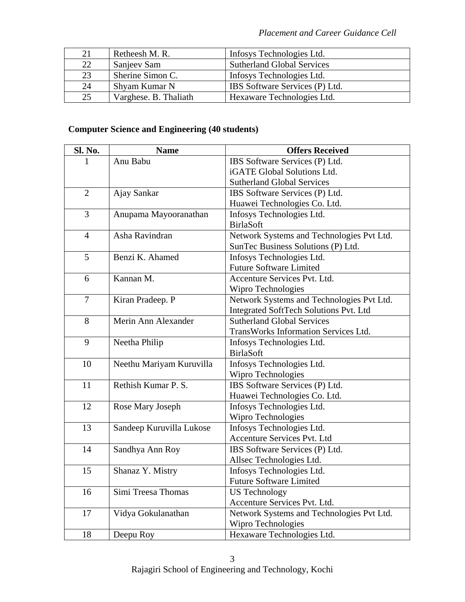| 21 | Retheesh M. R.        | Infosys Technologies Ltd.         |
|----|-----------------------|-----------------------------------|
| 22 | Sanjeev Sam           | <b>Sutherland Global Services</b> |
| 23 | Sherine Simon C.      | Infosys Technologies Ltd.         |
| 24 | Shyam Kumar N         | IBS Software Services (P) Ltd.    |
| 25 | Varghese. B. Thaliath | Hexaware Technologies Ltd.        |

# **Computer Science and Engineering (40 students)**

| Sl. No.        | <b>Name</b>              | <b>Offers Received</b>                    |
|----------------|--------------------------|-------------------------------------------|
|                | Anu Babu                 | IBS Software Services (P) Ltd.            |
|                |                          | iGATE Global Solutions Ltd.               |
|                |                          | <b>Sutherland Global Services</b>         |
| $\overline{2}$ | Ajay Sankar              | IBS Software Services (P) Ltd.            |
|                |                          | Huawei Technologies Co. Ltd.              |
| 3              | Anupama Mayooranathan    | Infosys Technologies Ltd.                 |
|                |                          | <b>BirlaSoft</b>                          |
| $\overline{4}$ | Asha Ravindran           | Network Systems and Technologies Pvt Ltd. |
|                |                          | SunTec Business Solutions (P) Ltd.        |
| 5              | Benzi K. Ahamed          | Infosys Technologies Ltd.                 |
|                |                          | <b>Future Software Limited</b>            |
| 6              | Kannan M.                | Accenture Services Pvt. Ltd.              |
|                |                          | Wipro Technologies                        |
| $\overline{7}$ | Kiran Pradeep. P         | Network Systems and Technologies Pvt Ltd. |
|                |                          | Integrated SoftTech Solutions Pvt. Ltd    |
| 8              | Merin Ann Alexander      | <b>Sutherland Global Services</b>         |
|                |                          | TransWorks Information Services Ltd.      |
| 9              | Neetha Philip            | Infosys Technologies Ltd.                 |
|                |                          | <b>BirlaSoft</b>                          |
| 10             | Neethu Mariyam Kuruvilla | Infosys Technologies Ltd.                 |
|                |                          | Wipro Technologies                        |
| 11             | Rethish Kumar P. S.      | IBS Software Services (P) Ltd.            |
|                |                          | Huawei Technologies Co. Ltd.              |
| 12             | Rose Mary Joseph         | Infosys Technologies Ltd.                 |
|                |                          | Wipro Technologies                        |
| 13             | Sandeep Kuruvilla Lukose | Infosys Technologies Ltd.                 |
|                |                          | Accenture Services Pvt. Ltd               |
| 14             | Sandhya Ann Roy          | IBS Software Services (P) Ltd.            |
|                |                          | Allsec Technologies Ltd.                  |
| 15             | Shanaz Y. Mistry         | Infosys Technologies Ltd.                 |
|                |                          | <b>Future Software Limited</b>            |
| 16             | Simi Treesa Thomas       | <b>US Technology</b>                      |
|                |                          | Accenture Services Pvt. Ltd.              |
| 17             | Vidya Gokulanathan       | Network Systems and Technologies Pvt Ltd. |
|                |                          | Wipro Technologies                        |
| 18             | Deepu Roy                | Hexaware Technologies Ltd.                |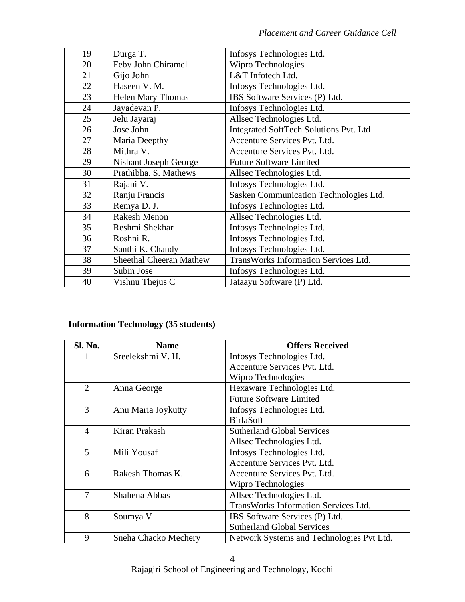| 19 | Durga T.                       | Infosys Technologies Ltd.                   |
|----|--------------------------------|---------------------------------------------|
| 20 | Feby John Chiramel             | Wipro Technologies                          |
| 21 | Gijo John                      | L&T Infotech Ltd.                           |
| 22 | Haseen V. M.                   | Infosys Technologies Ltd.                   |
| 23 | <b>Helen Mary Thomas</b>       | IBS Software Services (P) Ltd.              |
| 24 | Jayadevan P.                   | Infosys Technologies Ltd.                   |
| 25 | Jelu Jayaraj                   | Allsec Technologies Ltd.                    |
| 26 | Jose John                      | Integrated SoftTech Solutions Pvt. Ltd      |
| 27 | Maria Deepthy                  | Accenture Services Pvt. Ltd.                |
| 28 | Mithra V.                      | Accenture Services Pvt. Ltd.                |
| 29 | <b>Nishant Joseph George</b>   | <b>Future Software Limited</b>              |
| 30 | Prathibha. S. Mathews          | Allsec Technologies Ltd.                    |
| 31 | Rajani V.                      | Infosys Technologies Ltd.                   |
| 32 | Ranju Francis                  | Sasken Communication Technologies Ltd.      |
| 33 | Remya D. J.                    | Infosys Technologies Ltd.                   |
| 34 | Rakesh Menon                   | Allsec Technologies Ltd.                    |
| 35 | Reshmi Shekhar                 | Infosys Technologies Ltd.                   |
| 36 | Roshni R.                      | Infosys Technologies Ltd.                   |
| 37 | Santhi K. Chandy               | Infosys Technologies Ltd.                   |
| 38 | <b>Sheethal Cheeran Mathew</b> | <b>TransWorks Information Services Ltd.</b> |
| 39 | Subin Jose                     | Infosys Technologies Ltd.                   |
| 40 | Vishnu Thejus C                | Jataayu Software (P) Ltd.                   |

# **Information Technology (35 students)**

| <b>Sl. No.</b> | <b>Name</b>          | <b>Offers Received</b>                      |
|----------------|----------------------|---------------------------------------------|
| 1              | Sreelekshmi V. H.    | Infosys Technologies Ltd.                   |
|                |                      | Accenture Services Pvt. Ltd.                |
|                |                      | Wipro Technologies                          |
| $\overline{2}$ | Anna George          | Hexaware Technologies Ltd.                  |
|                |                      | <b>Future Software Limited</b>              |
| 3              | Anu Maria Joykutty   | Infosys Technologies Ltd.                   |
|                |                      | <b>BirlaSoft</b>                            |
| $\overline{4}$ | Kiran Prakash        | <b>Sutherland Global Services</b>           |
|                |                      | Allsec Technologies Ltd.                    |
| 5              | Mili Yousaf          | Infosys Technologies Ltd.                   |
|                |                      | Accenture Services Pvt. Ltd.                |
| 6              | Rakesh Thomas K.     | Accenture Services Pvt. Ltd.                |
|                |                      | Wipro Technologies                          |
| 7              | Shahena Abbas        | Allsec Technologies Ltd.                    |
|                |                      | <b>TransWorks Information Services Ltd.</b> |
| 8              | Soumya V             | IBS Software Services (P) Ltd.              |
|                |                      | <b>Sutherland Global Services</b>           |
| 9              | Sneha Chacko Mechery | Network Systems and Technologies Pvt Ltd.   |

Rajagiri School of Engineering and Technology, Kochi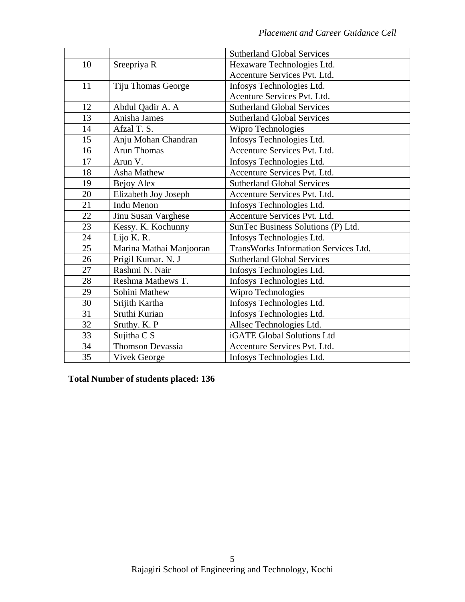|    |                         | <b>Sutherland Global Services</b>           |  |
|----|-------------------------|---------------------------------------------|--|
| 10 | Sreepriya R             | Hexaware Technologies Ltd.                  |  |
|    |                         | Accenture Services Pvt. Ltd.                |  |
| 11 | Tiju Thomas George      | Infosys Technologies Ltd.                   |  |
|    |                         | Acenture Services Pvt. Ltd.                 |  |
| 12 | Abdul Qadir A. A        | <b>Sutherland Global Services</b>           |  |
| 13 | Anisha James            | <b>Sutherland Global Services</b>           |  |
| 14 | Afzal T. S.             | Wipro Technologies                          |  |
| 15 | Anju Mohan Chandran     | Infosys Technologies Ltd.                   |  |
| 16 | <b>Arun Thomas</b>      | Accenture Services Pvt. Ltd.                |  |
| 17 | Arun V.                 | Infosys Technologies Ltd.                   |  |
| 18 | <b>Asha Mathew</b>      | Accenture Services Pvt. Ltd.                |  |
| 19 | Bejoy Alex              | <b>Sutherland Global Services</b>           |  |
| 20 | Elizabeth Joy Joseph    | Accenture Services Pvt. Ltd.                |  |
| 21 | <b>Indu Menon</b>       | Infosys Technologies Ltd.                   |  |
| 22 | Jinu Susan Varghese     | Accenture Services Pvt. Ltd.                |  |
| 23 | Kessy. K. Kochunny      | SunTec Business Solutions (P) Ltd.          |  |
| 24 | Lijo K. R.              | Infosys Technologies Ltd.                   |  |
| 25 | Marina Mathai Manjooran | <b>TransWorks Information Services Ltd.</b> |  |
| 26 | Prigil Kumar. N. J      | <b>Sutherland Global Services</b>           |  |
| 27 | Rashmi N. Nair          | Infosys Technologies Ltd.                   |  |
| 28 | Reshma Mathews T.       | Infosys Technologies Ltd.                   |  |
| 29 | Sohini Mathew           | Wipro Technologies                          |  |
| 30 | Srijith Kartha          | Infosys Technologies Ltd.                   |  |
| 31 | Sruthi Kurian           | Infosys Technologies Ltd.                   |  |
| 32 | Sruthy. K. P            | Allsec Technologies Ltd.                    |  |
| 33 | Sujitha C S             | iGATE Global Solutions Ltd                  |  |
| 34 | <b>Thomson Devassia</b> | Accenture Services Pvt. Ltd.                |  |
| 35 | <b>Vivek George</b>     | Infosys Technologies Ltd.                   |  |

**Total Number of students placed: 136**